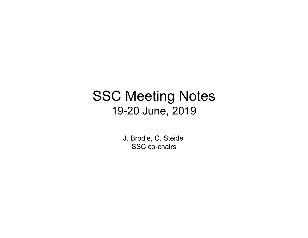# SSC Meeting Notes 19-20 June, 2019

J. Brodie, C. Steidel SSC co-chairs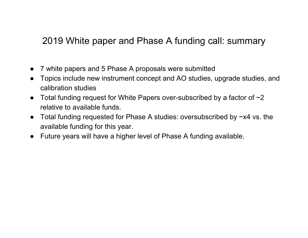#### 2019 White paper and Phase A funding call: summary

- $\bullet$ 7 white papers and 5 Phase A proposals were submitted
- $\bullet$  Topics include new instrument concept and AO studies, upgrade studies, and calibration studies
- Total funding request for White Papers over-subscribed by a factor of  $\sim$ 2 relative to available funds.
- Total funding requested for Phase A studies: oversubscribed by  $\nsim x4$  vs. the available funding for this year.
- Future years will have a higher level of Phase A funding available.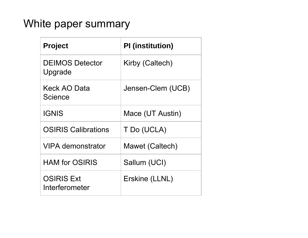### White paper summary

| <b>Project</b>                      | <b>PI</b> (institution) |
|-------------------------------------|-------------------------|
| <b>DEIMOS Detector</b><br>Upgrade   | Kirby (Caltech)         |
| Keck AO Data<br>Science             | Jensen-Clem (UCB)       |
| <b>IGNIS</b>                        | Mace (UT Austin)        |
| <b>OSIRIS Calibrations</b>          | T Do (UCLA)             |
| VIPA demonstrator                   | Mawet (Caltech)         |
| <b>HAM for OSIRIS</b>               | Sallum (UCI)            |
| <b>OSIRIS Ext</b><br>Interferometer | Erskine (LLNL)          |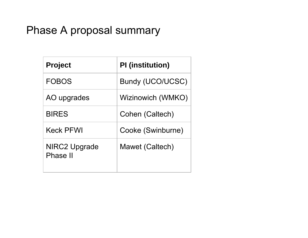## Phase A proposal summary

| <b>Project</b>                   | <b>PI</b> (institution) |
|----------------------------------|-------------------------|
| <b>FOBOS</b>                     | <b>Bundy (UCO/UCSC)</b> |
| AO upgrades                      | Wizinowich (WMKO)       |
| <b>BIRES</b>                     | Cohen (Caltech)         |
| <b>Keck PFWI</b>                 | Cooke (Swinburne)       |
| NIRC2 Upgrade<br><b>Phase II</b> | Mawet (Caltech)         |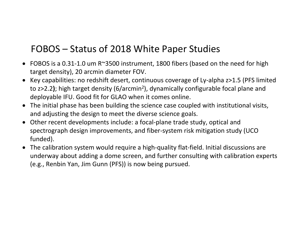#### FOBOS – Status of 2018 White Paper Studies

- $\bullet$  FOBOS is a 0.31‐1.0 um R~3500 instrument, 1800 fibers (based on the need for high target density), 20 arcmin diameter FOV.
- Key capabilities: no redshift desert, continuous coverage of Ly-alpha z>1.5 (PFS limited to z>2.2**)**; high target density (6/arcmin2), dynamically configurable focal plane and deployable IFU. Good fit for GLAO when it comes online.
- The initial phase has been building the science case coupled with institutional visits, and adjusting the design to meet the diverse science goals.
- Other recent developments include: a focal-plane trade study, optical and spectrograph design improvements, and fiber‐system risk mitigation study (UCO funded).
- $\bullet$  The calibration system would require <sup>a</sup> high‐quality flat‐field. Initial discussions are underway about adding <sup>a</sup> dome screen, and further consulting with calibration experts (e.g., Renbin Yan, Jim Gunn (PFS)) is now being pursued.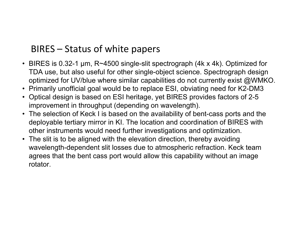#### BIRES – Status of white papers

- BIRES is 0.32-1 µm, R~4500 single-slit spectrograph (4k x 4k). Optimized for TDA use, but also useful for other single-object science. Spectrograph design optimized for UV/blue where similar capabilities do not currently exist @WMKO.
- Primarily unofficial goal would be to replace ESI, obviating need for K2-DM3
- Optical design is based on ESI heritage, yet BIRES provides factors of 2-5 improvement in throughput (depending on wavelength).
- The selection of Keck I is based on the availability of bent-cass ports and the deployable tertiary mirror in KI. The location and coordination of BIRES with other instruments would need further investigations and optimization.
- The slit is to be aligned with the elevation direction, thereby avoiding wavelength-dependent slit losses due to atmospheric refraction. Keck team agrees that the bent cass port would allow this capability without an image rotator.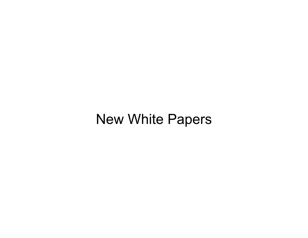# New White Papers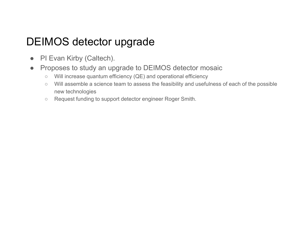# DEIMOS detector upgrade

- PI Evan Kirby (Caltech).
- Proposes to study an upgrade to DEIMOS detector mosaic
	- $\circ$ Will increase quantum efficiency (QE) and operational efficiency
	- $\circ$  Will assemble a science team to assess the feasibility and usefulness of each of the possible new technologies
	- Request funding to support detector engineer Roger Smith.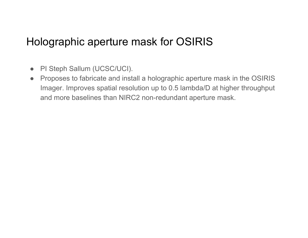### Holographic aperture mask for OSIRIS

- PI Steph Sallum (UCSC/UCI).
- $\bullet$  Proposes to fabricate and install a holographic aperture mask in the OSIRIS Imager. Improves spatial resolution up to 0.5 lambda/D at higher throughput and more baselines than NIRC2 non-redundant aperture mask.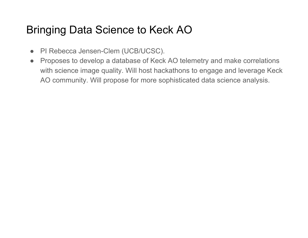# Bringing Data Science to Keck AO

- PI Rebecca Jensen-Clem (UCB/UCSC).
- Proposes to develop a database of Keck AO telemetry and make correlations with science image quality. Will host hackathons to engage and leverage Keck AO community. Will propose for more sophisticated data science analysis.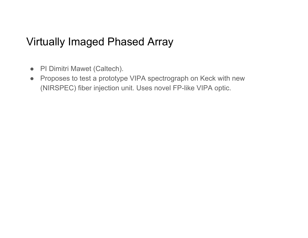### Virtually Imaged Phased Array

- PI Dimitri Mawet (Caltech).
- $\bullet$  Proposes to test a prototype VIPA spectrograph on Keck with new (NIRSPEC) fiber injection unit. Uses novel FP-like VIPA optic.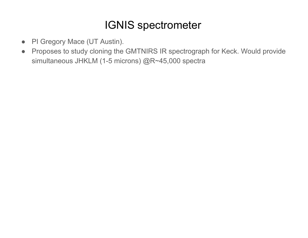# IGNIS spectrometer

- PI Gregory Mace (UT Austin).
- $\bullet$  Proposes to study cloning the GMTNIRS IR spectrograph for Keck. Would provide simultaneous JHKLM (1-5 microns) @R~45,000 spectra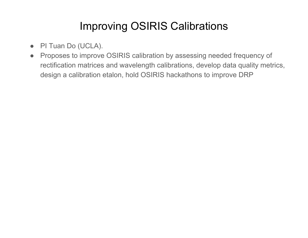# Improving OSIRIS Calibrations

- PI Tuan Do (UCLA).
- Proposes to improve OSIRIS calibration by assessing needed frequency of rectification matrices and wavelength calibrations, develop data quality metrics, design a calibration etalon, hold OSIRIS hackathons to improve DRP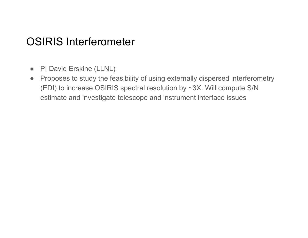#### OSIRIS Interferometer

- PI David Erskine (LLNL)
- $\bullet$  Proposes to study the feasibility of using externally dispersed interferometry (EDI) to increase OSIRIS spectral resolution by ~3X. Will compute S/N estimate and investigate telescope and instrument interface issues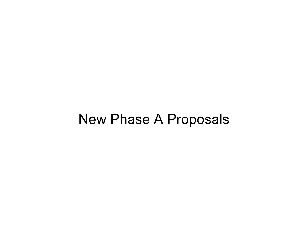# New Phase A Proposals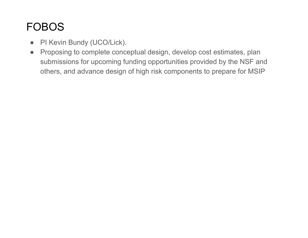# FOBOS

- PI Kevin Bundy (UCO/Lick).
- Proposing to complete conceptual design, develop cost estimates, plan submissions for upcoming funding opportunities provided by the NSF and others, and advance design of high risk components to prepare for MSIP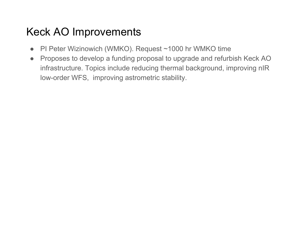# Keck AO Improvements

- PI Peter Wizinowich (WMKO). Request ~1000 hr WMKO time
- $\bullet$  Proposes to develop a funding proposal to upgrade and refurbish Keck AO infrastructure. Topics include reducing thermal background, improving nIR low-order WFS, improving astrometric stability.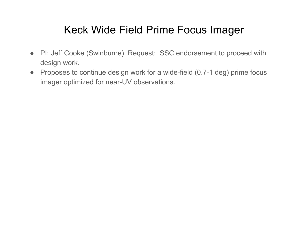## Keck Wide Field Prime Focus Imager

- PI: Jeff Cooke (Swinburne). Request: SSC endorsement to proceed with design work.
- Proposes to continue design work for a wide-field (0.7-1 deg) prime focus imager optimized for near-UV observations.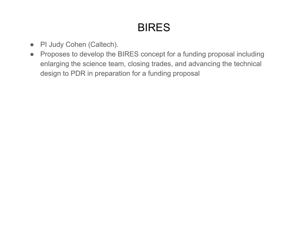# BIRES

- PI Judy Cohen (Caltech).
- Proposes to develop the BIRES concept for a funding proposal including enlarging the science team, closing trades, and advancing the technical design to PDR in preparation for a funding proposal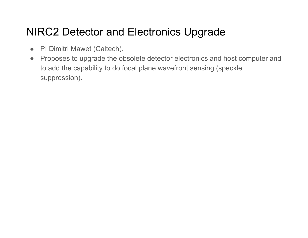# NIRC2 Detector and Electronics Upgrade

- PI Dimitri Mawet (Caltech).
- Proposes to upgrade the obsolete detector electronics and host computer and to add the capability to do focal plane wavefront sensing (speckle suppression).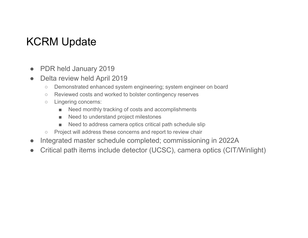# KCRM Update

- $\bullet$ PDR held January 2019
- $\bullet$  Delta review held April 2019
	- ○Demonstrated enhanced system engineering; system engineer on board
	- $\circ$ Reviewed costs and worked to bolster contingency reserves
	- $\circ$  Lingering concerns:
		- ■Need monthly tracking of costs and accomplishments
		- ■Need to understand project milestones
		- ■Need to address camera optics critical path schedule slip
	- $\circ$ Project will address these concerns and report to review chair
- $\bullet$ Integrated master schedule completed; commissioning in 2022A
- $\bullet$ Critical path items include detector (UCSC), camera optics (CIT/Winlight)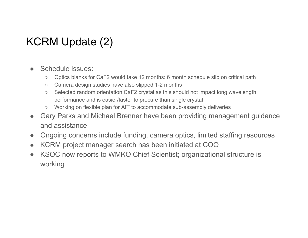# KCRM Update (2)

- ● Schedule issues:
	- $\bigcap$ Optics blanks for CaF2 would take 12 months: 6 month schedule slip on critical path
	- $\circ$ Camera design studies have also slipped 1-2 months
	- $\circ$  Selected random orientation CaF2 crystal as this should not impact long wavelength performance and is easier/faster to procure than single crystal
	- Working on flexible plan for AIT to accommodate sub-assembly deliveries
- $\bullet$  Gary Parks and Michael Brenner have been providing management guidance and assistance
- $\bullet$ Ongoing concerns include funding, camera optics, limited staffing resources
- $\bullet$ KCRM project manager search has been initiated at COO
- $\bullet$  KSOC now reports to WMKO Chief Scientist; organizational structure is working